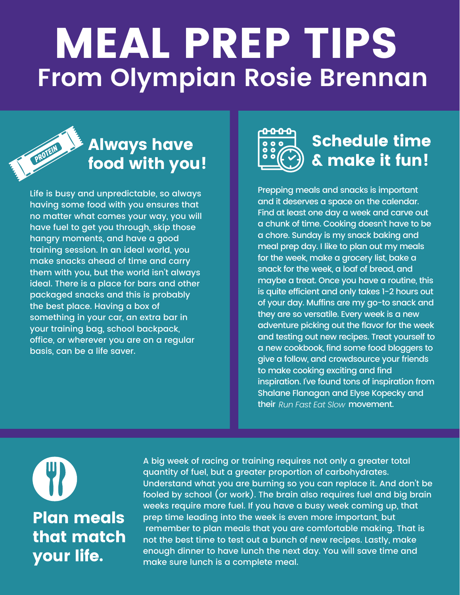## MEAL PREP TIPS **From Olympian Rosie Brennan**



## Always have food with you!

Life is busy and unpredictable, so always having some food with you ensures that no matter what comes your way, you will have fuel to get you through, skip those hangry moments, and have a good training session. In an ideal world, you make snacks ahead of time and carry them with you, but the world isn't always ideal. There is a place for bars and other packaged snacks and this is probably the best place. Having a box of something in your car, an extra bar in your training bag, school backpack, office, or wherever you are on a regular basis, can be a life saver.



## Schedule time & make it fun!

Prepping meals and snacks is important and it deserves a space on the calendar. Find at least one day a week and carve out a chunk of time. Cooking doesn't have to be a chore. Sunday is my snack baking and meal prep day. I like to plan out my meals for the week, make a grocery list, bake a snack for the week, a loaf of bread, and maybe a treat. Once you have a routine, this is quite efficient and only takes 1-2 hours out of your day. Muffins are my go-to snack and they are so versatile. Every week is a new adventure picking out the flavor for the week and testing out new recipes. Treat yourself to a new cookbook, find some food bloggers to give a follow, and crowdsource your friends to make cooking exciting and find inspiration. I've found tons of inspiration from Shalane Flanagan and Elyse Kopecky and *their Run Fast Eat Slow <b>movement.* 



A big week of racing or training requires not only a greater total quantity of fuel, but a greater proportion of carbohydrates. Understand what you are burning so you can replace it. And don't be fooled by school (or work). The brain also requires fuel and big brain weeks require more fuel. If you have a busy week coming up, that prep time leading into the week is even more important, but remember to plan meals that you are comfortable making. That is not the best time to test out a bunch of new recipes. Lastly, make enough dinner to have lunch the next day. You will save time and make sure lunch is a complete meal.